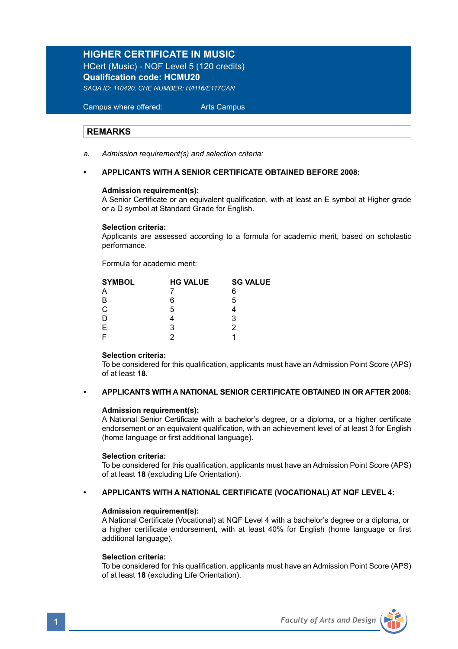# **HIGHER CERTIFICATE IN MUSIC**

HCert (Music) - NQF Level 5 (120 credits) **Qualification code: HCMU20** *SAQA ID: 110420, CHE NUMBER: H/H16/E117CAN* 

 Campus where offered: Arts Campus

## **REMARKS**

*a. Admission requirement(s) and selection criteria:* 

## **• APPLICANTS WITH A SENIOR CERTIFICATE OBTAINED BEFORE 2008:**

## **Admission requirement(s):**

 A Senior Certificate or an equivalent qualification, with at least an E symbol at Higher grade or a D symbol at Standard Grade for English.

### **Selection criteria:**

Applicants are assessed according to a formula for academic merit, based on scholastic performance.

Formula for academic merit:

| <b>SYMBOL</b> | <b>HG VALUE</b> | <b>SG VALUE</b> |  |
|---------------|-----------------|-----------------|--|
|               |                 | 6               |  |
| B             | 6               | 5               |  |
| $\mathsf{C}$  | 5               |                 |  |
|               |                 | 3               |  |
| E.            | 3               |                 |  |
|               |                 |                 |  |
|               |                 |                 |  |

## **Selection criteria:**

To be considered for this qualification, applicants must have an Admission Point Score (APS) of at least **18**.

## **• APPLICANTS WITH A NATIONAL SENIOR CERTIFICATE OBTAINED IN OR AFTER 2008:**

## **Admission requirement(s):**

A National Senior Certificate with a bachelor's degree, or a diploma, or a higher certificate endorsement or an equivalent qualification, with an achievement level of at least 3 for English (home language or first additional language).

### **Selection criteria:**

To be considered for this qualification, applicants must have an Admission Point Score (APS) of at least **18** (excluding Life Orientation).

## **• APPLICANTS WITH A NATIONAL CERTIFICATE (VOCATIONAL) AT NQF LEVEL 4:**

## **Admission requirement(s):**

A National Certificate (Vocational) at NQF Level 4 with a bachelor's degree or a diploma, or a higher certificate endorsement, with at least 40% for English (home language or first additional language).

## **Selection criteria:**

To be considered for this qualification, applicants must have an Admission Point Score (APS) of at least **18** (excluding Life Orientation).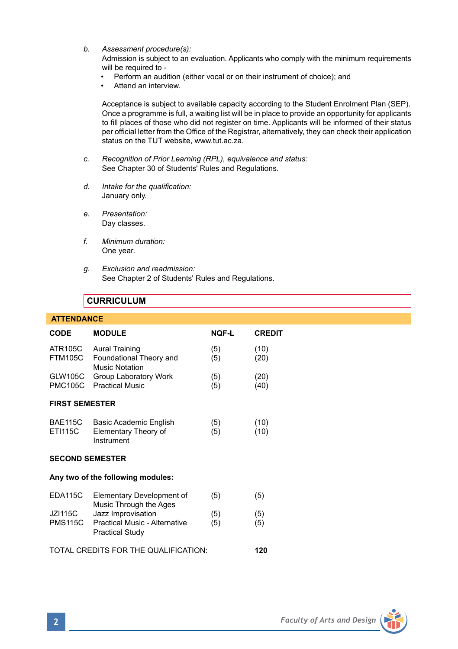*b. Assessment procedure(s):*

Admission is subject to an evaluation. Applicants who comply with the minimum requirements will be required to -

- Perform an audition (either vocal or on their instrument of choice); and
- Attend an interview.

Acceptance is subject to available capacity according to the Student Enrolment Plan (SEP). Once a programme is full, a waiting list will be in place to provide an opportunity for applicants to fill places of those who did not register on time. Applicants will be informed of their status per official letter from the Office of the Registrar, alternatively, they can check their application status on the TUT website, www.tut.ac.za.

- *c. Recognition of Prior Learning (RPL), equivalence and status:* See Chapter 30 of Students' Rules and Regulations.
- *d. Intake for the qualification:* January only.
- *e. Presentation:* Day classes.
- *f. Minimum duration:* One year.
- *g. Exclusion and readmission:* See Chapter 2 of Students' Rules and Regulations.

# **CURRICULUM**

## **ATTENDANCE**

| CODE                                 | <b>MODULE</b>                                                | <b>NOF-L</b> | <b>CREDIT</b> |  |
|--------------------------------------|--------------------------------------------------------------|--------------|---------------|--|
| <b>ATR105C</b><br><b>FTM105C</b>     | Aural Training<br>Foundational Theory and<br>Music Notation  | (5)<br>(5)   | (10)<br>(20)  |  |
| GLW105C<br><b>PMC105C</b>            | Group Laboratory Work<br><b>Practical Music</b>              | (5)<br>(5)   | (20)<br>(40)  |  |
| <b>FIRST SEMESTER</b>                |                                                              |              |               |  |
| <b>BAE115C</b><br><b>ETI115C</b>     | Basic Academic English<br>Elementary Theory of<br>Instrument | (5)<br>(5)   | (10)<br>(10)  |  |
| <b>SECOND SEMESTER</b>               |                                                              |              |               |  |
| Any two of the following modules:    |                                                              |              |               |  |
| <b>EDA115C</b>                       | Elementary Development of<br>Music Through the Ages          | (5)          | (5)           |  |
| JZ1115C                              | Jazz Improvisation                                           | (5)          | (5)           |  |
| <b>PMS115C</b>                       | Practical Music - Alternative<br>Practical Study             | (5)          | (5)           |  |
| TOTAL CREDITS FOR THE QUALIFICATION: |                                                              |              |               |  |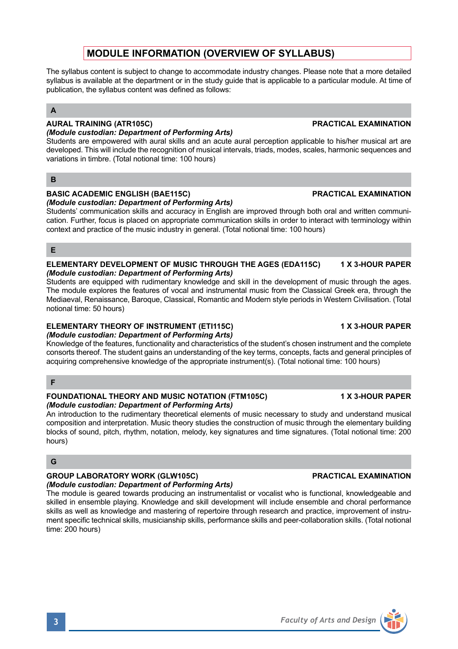# **MODULE INFORMATION (OVERVIEW OF SYLLABUS)**

The syllabus content is subject to change to accommodate industry changes. Please note that a more detailed syllabus is available at the department or in the study guide that is applicable to a particular module. At time of publication, the syllabus content was defined as follows:

## **A**

#### **AURAL TRAINING (ATR105C) PRACTICAL EXAMINATION**  *(Module custodian: Department of Performing Arts)*

Students are empowered with aural skills and an acute aural perception applicable to his/her musical art are developed. This will include the recognition of musical intervals, triads, modes, scales, harmonic sequences and variations in timbre. (Total notional time: 100 hours)

# **B**

#### **BASIC ACADEMIC ENGLISH (BAE115C) PRACTICAL EXAMINATION**  *(Module custodian: Department of Performing Arts)*

Students' communication skills and accuracy in English are improved through both oral and written communication. Further, focus is placed on appropriate communication skills in order to interact with terminology within context and practice of the music industry in general. (Total notional time: 100 hours)

# **E**

## **ELEMENTARY DEVELOPMENT OF MUSIC THROUGH THE AGES (EDA115C) 1 X 3-HOUR PAPER** *(Module custodian: Department of Performing Arts)*

Students are equipped with rudimentary knowledge and skill in the development of music through the ages. The module explores the features of vocal and instrumental music from the Classical Greek era, through the Mediaeval, Renaissance, Baroque, Classical, Romantic and Modern style periods in Western Civilisation. (Total notional time: 50 hours)

# **ELEMENTARY THEORY OF INSTRUMENT (ETI115C) 1 X 3-HOUR PAPER**

## *(Module custodian: Department of Performing Arts)*

Knowledge of the features, functionality and characteristics of the student's chosen instrument and the complete consorts thereof. The student gains an understanding of the key terms, concepts, facts and general principles of acquiring comprehensive knowledge of the appropriate instrument(s). (Total notional time: 100 hours)

# **F**

## **FOUNDATIONAL THEORY AND MUSIC NOTATION (FTM105C) 1 X 3-HOUR PAPER** *(Module custodian: Department of Performing Arts)*

An introduction to the rudimentary theoretical elements of music necessary to study and understand musical composition and interpretation. Music theory studies the construction of music through the elementary building blocks of sound, pitch, rhythm, notation, melody, key signatures and time signatures. (Total notional time: 200 hours)

# **G**

# **GROUP LABORATORY WORK (GLW105C) PRACTICAL EXAMINATION**

# *(Module custodian: Department of Performing Arts)*

The module is geared towards producing an instrumentalist or vocalist who is functional, knowledgeable and skilled in ensemble playing. Knowledge and skill development will include ensemble and choral performance skills as well as knowledge and mastering of repertoire through research and practice, improvement of instrument specific technical skills, musicianship skills, performance skills and peer-collaboration skills. (Total notional time: 200 hours)